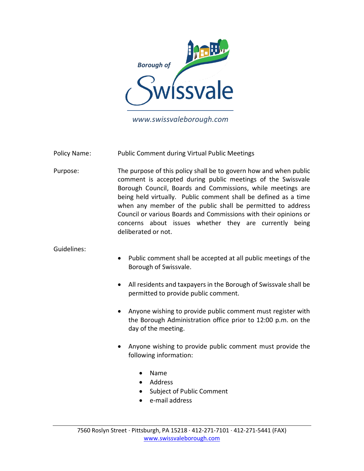

*www.swissvaleborough.com*

Policy Name: Public Comment during Virtual Public Meetings

Purpose: The purpose of this policy shall be to govern how and when public comment is accepted during public meetings of the Swissvale Borough Council, Boards and Commissions, while meetings are being held virtually. Public comment shall be defined as a time when any member of the public shall be permitted to address Council or various Boards and Commissions with their opinions or concerns about issues whether they are currently being deliberated or not.

## Guidelines:

- Public comment shall be accepted at all public meetings of the Borough of Swissvale.
- All residents and taxpayers in the Borough of Swissvale shall be permitted to provide public comment.
- Anyone wishing to provide public comment must register with the Borough Administration office prior to 12:00 p.m. on the day of the meeting.
- Anyone wishing to provide public comment must provide the following information:
	- Name
	- Address
	- Subject of Public Comment
	- e-mail address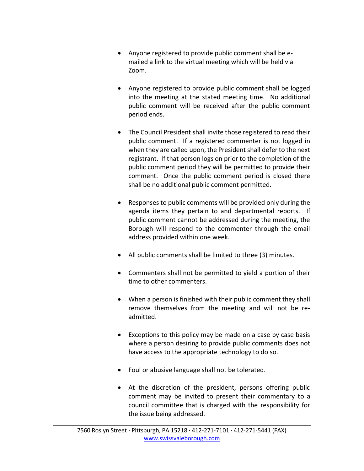- Anyone registered to provide public comment shall be emailed a link to the virtual meeting which will be held via Zoom.
- Anyone registered to provide public comment shall be logged into the meeting at the stated meeting time. No additional public comment will be received after the public comment period ends.
- The Council President shall invite those registered to read their public comment. If a registered commenter is not logged in when they are called upon, the President shall defer to the next registrant. If that person logs on prior to the completion of the public comment period they will be permitted to provide their comment. Once the public comment period is closed there shall be no additional public comment permitted.
- Responses to public comments will be provided only during the agenda items they pertain to and departmental reports. If public comment cannot be addressed during the meeting, the Borough will respond to the commenter through the email address provided within one week.
- All public comments shall be limited to three (3) minutes.
- Commenters shall not be permitted to yield a portion of their time to other commenters.
- When a person is finished with their public comment they shall remove themselves from the meeting and will not be readmitted.
- Exceptions to this policy may be made on a case by case basis where a person desiring to provide public comments does not have access to the appropriate technology to do so.
- Foul or abusive language shall not be tolerated.
- At the discretion of the president, persons offering public comment may be invited to present their commentary to a council committee that is charged with the responsibility for the issue being addressed.